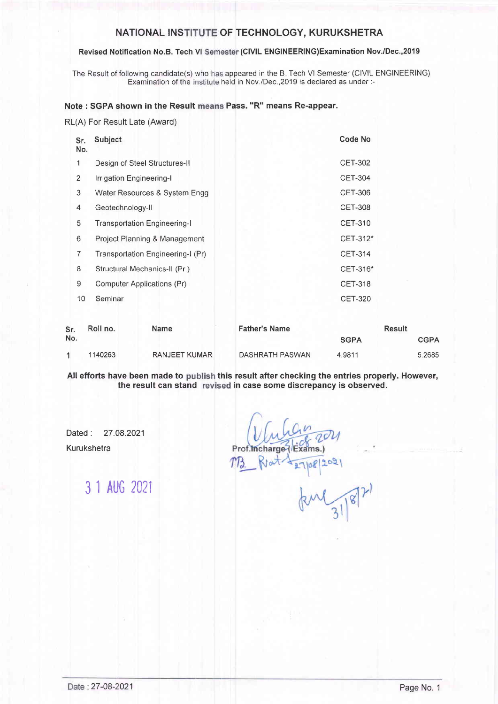### NATIONAL INSTITUTE OF TECHNOLOGY, KURUKSHETRA

#### Revised Notification No.B. Tech VI Semester (CIVIL ENGINEERING)Examination Nov./Dec.,2019

The Result of following candidate(s) who has appeared in the B. Tech VI Semester (CIVIL ENGINEERING) Examination of the institute held in Nov./Dec., 2019 is declared as under :-

#### Note : SGPA shown in the Result means Pass. "R" means Re-appear.

RL(A) For Result Late (Award)

| Sr.<br>No.     | Subject                             | Code No        |
|----------------|-------------------------------------|----------------|
| 1              | Design of Steel Structures-II       | CET-302        |
| $\overline{2}$ | Irrigation Engineering-I            | <b>CET-304</b> |
| 3              | Water Resources & System Engg       | <b>CET-306</b> |
| 4              | Geotechnology-II                    | <b>CET-308</b> |
| 5              | <b>Transportation Engineering-I</b> | <b>CET-310</b> |
| 6              | Project Planning & Management       | CET-312*       |
| 7              | Transportation Engineering-I (Pr)   | <b>CET-314</b> |
| 8              | Structural Mechanics-II (Pr.)       | CET-316*       |
| 9              | Computer Applications (Pr)          | <b>CET-318</b> |
| 10             | Seminar                             | <b>CET-320</b> |
|                |                                     |                |

| Sr. | Roll no. | Name                 | <b>Father's Name</b> | <b>Result</b> |             |
|-----|----------|----------------------|----------------------|---------------|-------------|
| No. |          |                      |                      | <b>SGPA</b>   | <b>CGPA</b> |
|     | 1140263  | <b>RANJEET KUMAR</b> | DASHRATH PASWAN      | 4.9811        | 5.2685      |

All efforts have been made to publish this result after checking the entries properly. However, the result can stand revised in case some discrepancy is observed.

Dated : 27.08.2021 Kurukshetra

3 1 AUG 202i

Prof.Incharge / E ams.)  $R_{tot}$ 08/2021

 $187)$  $\frac{1}{3}$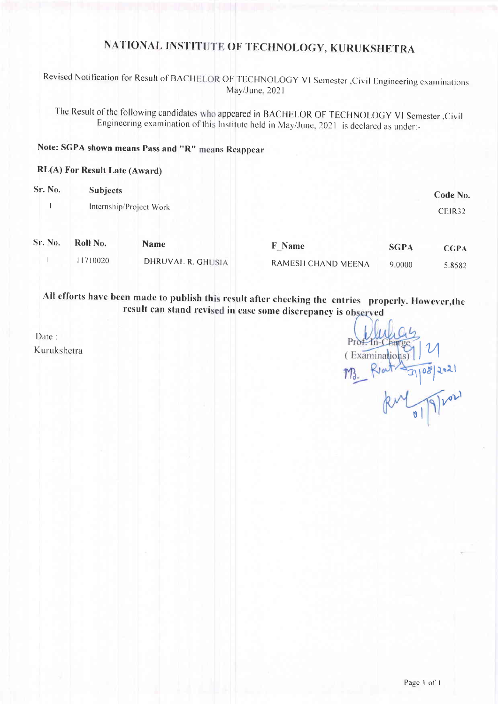# NATIONAL INSTITUTE OF TECHNOLOGY, KURUKSHETRA

Revised Notification for Result of BACHELOR OF TECHNOLOGY VI Semester , Civil Engineering examinations May/June, 2021

The Result of the following candidates who appeared in BACHELOR OF TECHNOLOGY VI Semester ,Civil Engineering examination of this Institute held in May/June, 2021 is declared as under:-

## Note: SGPA shown means Pass and "R" means Reappear

#### **RL(A) For Result Late (Award)**

| Sr. No. | <b>Subjects</b> |                         |                           |             | Code No.    |
|---------|-----------------|-------------------------|---------------------------|-------------|-------------|
|         |                 | Internship/Project Work |                           |             | CEIR32      |
| Sr. No. | Roll No.        | <b>Name</b>             | <b>F</b> Name             | <b>SGPA</b> | <b>CGPA</b> |
|         | 11710020        | DHRUVAL R. GHUSIA       | <b>RAMESH CHAND MEENA</b> | 9.0000      | 5.8582      |

All efforts have been made to publish this result after checking the entries properly. However, the result can stand revised in case some discrepancy is observed

Date: Kurukshetra

 $(Fxamins)$ M 9/2021